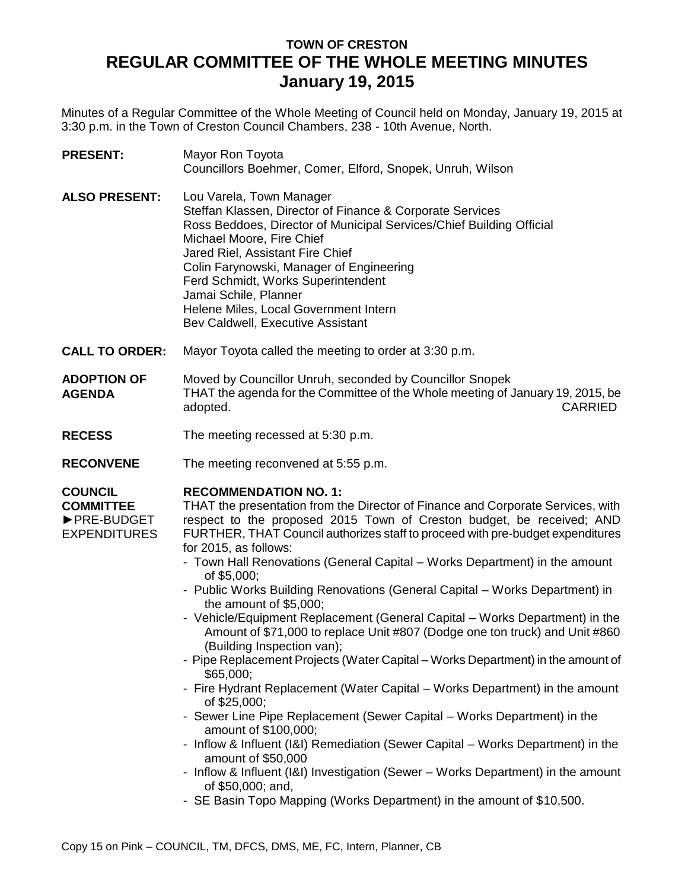## **TOWN OF CRESTON REGULAR COMMITTEE OF THE WHOLE MEETING MINUTES January 19, 2015**

Minutes of a Regular Committee of the Whole Meeting of Council held on Monday, January 19, 2015 at 3:30 p.m. in the Town of Creston Council Chambers, 238 - 10th Avenue, North.

**PRESENT:** Mayor Ron Toyota Councillors Boehmer, Comer, Elford, Snopek, Unruh, Wilson **ALSO PRESENT:** Lou Varela, Town Manager Steffan Klassen, Director of Finance & Corporate Services Ross Beddoes, Director of Municipal Services/Chief Building Official Michael Moore, Fire Chief Jared Riel, Assistant Fire Chief Colin Farynowski, Manager of Engineering Ferd Schmidt, Works Superintendent Jamai Schile, Planner Helene Miles, Local Government Intern Bev Caldwell, Executive Assistant **CALL TO ORDER:** Mayor Toyota called the meeting to order at 3:30 p.m. **ADOPTION OF AGENDA** Moved by Councillor Unruh, seconded by Councillor Snopek THAT the agenda for the Committee of the Whole meeting of January 19, 2015, be adopted. CARRIED **RECESS** The meeting recessed at 5:30 p.m. **RECONVENE** The meeting reconvened at 5:55 p.m.

## **RECOMMENDATION NO. 1:**

**COUNCIL COMMITTEE** ►PRE-BUDGET EXPENDITURES

THAT the presentation from the Director of Finance and Corporate Services, with respect to the proposed 2015 Town of Creston budget, be received; AND FURTHER, THAT Council authorizes staff to proceed with pre-budget expenditures for 2015, as follows:

- Town Hall Renovations (General Capital Works Department) in the amount of \$5,000;
- Public Works Building Renovations (General Capital Works Department) in the amount of \$5,000;
- Vehicle/Equipment Replacement (General Capital Works Department) in the Amount of \$71,000 to replace Unit #807 (Dodge one ton truck) and Unit #860 (Building Inspection van);
- Pipe Replacement Projects (Water Capital Works Department) in the amount of \$65,000;
- Fire Hydrant Replacement (Water Capital Works Department) in the amount of \$25,000;
- Sewer Line Pipe Replacement (Sewer Capital Works Department) in the amount of \$100,000;
- Inflow & Influent (I&I) Remediation (Sewer Capital Works Department) in the amount of \$50,000
- Inflow & Influent (I&I) Investigation (Sewer Works Department) in the amount of \$50,000; and,
- SE Basin Topo Mapping (Works Department) in the amount of \$10,500.